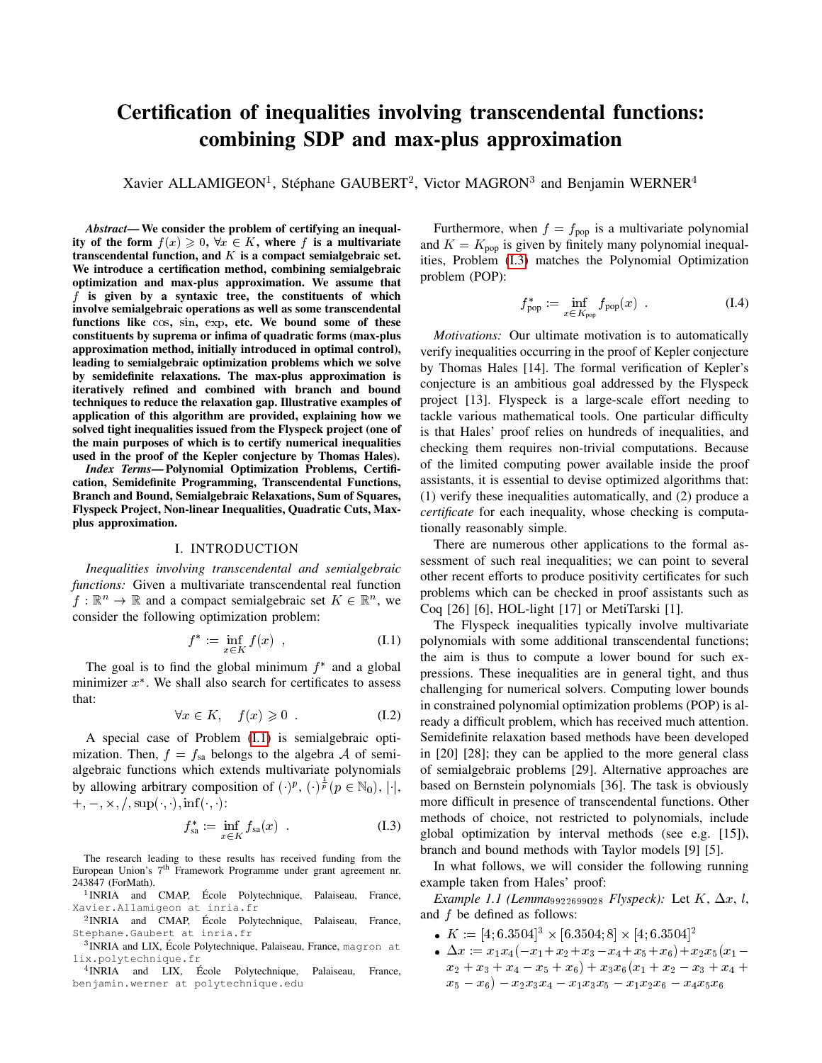# Certification of inequalities involving transcendental functions: combining SDP and max-plus approximation

Xavier ALLAMIGEON<sup>1</sup>, Stéphane GAUBERT<sup>2</sup>, Victor MAGRON<sup>3</sup> and Benjamin WERNER<sup>4</sup>

*Abstract*— We consider the problem of certifying an inequality of the form  $f(x) \geq 0$ ,  $\forall x \in K$ , where f is a multivariate transcendental function, and  $K$  is a compact semialgebraic set. We introduce a certification method, combining semialgebraic optimization and max-plus approximation. We assume that f is given by a syntaxic tree, the constituents of which involve semialgebraic operations as well as some transcendental functions like cos, sin, exp, etc. We bound some of these constituents by suprema or infima of quadratic forms (max-plus approximation method, initially introduced in optimal control), leading to semialgebraic optimization problems which we solve by semidefinite relaxations. The max-plus approximation is iteratively refined and combined with branch and bound techniques to reduce the relaxation gap. Illustrative examples of application of this algorithm are provided, explaining how we solved tight inequalities issued from the Flyspeck project (one of the main purposes of which is to certify numerical inequalities used in the proof of the Kepler conjecture by Thomas Hales).

*Index Terms*— Polynomial Optimization Problems, Certification, Semidefinite Programming, Transcendental Functions, Branch and Bound, Semialgebraic Relaxations, Sum of Squares, Flyspeck Project, Non-linear Inequalities, Quadratic Cuts, Maxplus approximation.

#### I. INTRODUCTION

*Inequalities involving transcendental and semialgebraic functions:* Given a multivariate transcendental real function  $f: \mathbb{R}^n \to \mathbb{R}$  and a compact semialgebraic set  $K \in \mathbb{R}^n$ , we consider the following optimization problem:

$$
f^* := \inf_{x \in K} f(x) , \qquad (I.1)
$$

<span id="page-0-3"></span>The goal is to find the global minimum  $f^*$  and a global minimizer  $x^*$ . We shall also search for certificates to assess that:

$$
\forall x \in K, \quad f(x) \geqslant 0 \tag{I.2}
$$

A special case of Problem [\(I.1\)](#page-0-0) is semialgebraic optimization. Then,  $f = f_{sa}$  belongs to the algebra A of semialgebraic functions which extends multivariate polynomials by allowing arbitrary composition of  $( \cdot )^p$ ,  $( \cdot )^{\frac{1}{p}}$   $( p \in \mathbb{N}_0 )$ ,  $| \cdot |$ ,  $+, -, \times, /, \sup(\cdot, \cdot), \inf(\cdot, \cdot):$ 

<span id="page-0-1"></span>
$$
f_{\text{sa}}^* := \inf_{x \in K} f_{\text{sa}}(x) \tag{I.3}
$$

The research leading to these results has received funding from the European Union's 7<sup>th</sup> Framework Programme under grant agreement nr. 243847 (ForMath).

<sup>1</sup>INRIA and CMAP, École Polytechnique, Palaiseau, France, Xavier.Allamigeon at inria.fr

<sup>2</sup>INRIA and CMAP, École Polytechnique, Palaiseau, France, Stephane.Gaubert at inria.fr

<sup>3</sup>INRIA and LIX, École Polytechnique, Palaiseau, France, magron at lix.polytechnique.fr

<sup>4</sup> INRIA and LIX, École Polytechnique, Palaiseau, France, benjamin.werner at polytechnique.edu

Furthermore, when  $f = f_{\text{pop}}$  is a multivariate polynomial and  $K = K_{\text{pop}}$  is given by finitely many polynomial inequalities, Problem [\(I.3\)](#page-0-1) matches the Polynomial Optimization problem (POP):

$$
f_{\text{pop}}^* := \inf_{x \in K_{\text{pop}}} f_{\text{pop}}(x) \tag{I.4}
$$

*Motivations:* Our ultimate motivation is to automatically verify inequalities occurring in the proof of Kepler conjecture by Thomas Hales [14]. The formal verification of Kepler's conjecture is an ambitious goal addressed by the Flyspeck project [13]. Flyspeck is a large-scale effort needing to tackle various mathematical tools. One particular difficulty is that Hales' proof relies on hundreds of inequalities, and checking them requires non-trivial computations. Because of the limited computing power available inside the proof assistants, it is essential to devise optimized algorithms that: (1) verify these inequalities automatically, and (2) produce a *certificate* for each inequality, whose checking is computationally reasonably simple.

There are numerous other applications to the formal assessment of such real inequalities; we can point to several other recent efforts to produce positivity certificates for such problems which can be checked in proof assistants such as Coq [26] [6], HOL-light [17] or MetiTarski [1].

<span id="page-0-0"></span>The Flyspeck inequalities typically involve multivariate polynomials with some additional transcendental functions; the aim is thus to compute a lower bound for such expressions. These inequalities are in general tight, and thus challenging for numerical solvers. Computing lower bounds in constrained polynomial optimization problems (POP) is already a difficult problem, which has received much attention. Semidefinite relaxation based methods have been developed in [20] [28]; they can be applied to the more general class of semialgebraic problems [29]. Alternative approaches are based on Bernstein polynomials [36]. The task is obviously more difficult in presence of transcendental functions. Other methods of choice, not restricted to polynomials, include global optimization by interval methods (see e.g. [15]), branch and bound methods with Taylor models [9] [5].

In what follows, we will consider the following running example taken from Hales' proof:

<span id="page-0-2"></span>*Example 1.1 (Lemma*<sub>9922699028</sub> *Flyspeck)*: Let  $K$ ,  $\Delta x$ , *l*, and f be defined as follows:

- $K := [4; 6.3504]^3 \times [6.3504; 8] \times [4; 6.3504]^2$
- $\Delta x := x_1x_4(-x_1+x_2+x_3-x_4+x_5+x_6)+x_2x_5(x_1-x_4+x_5+x_6)$  $x_2 + x_3 + x_4 - x_5 + x_6$  +  $x_3x_6(x_1 + x_2 - x_3 + x_4 +$  $x_5 - x_6) - x_2x_3x_4 - x_1x_3x_5 - x_1x_2x_6 - x_4x_5x_6$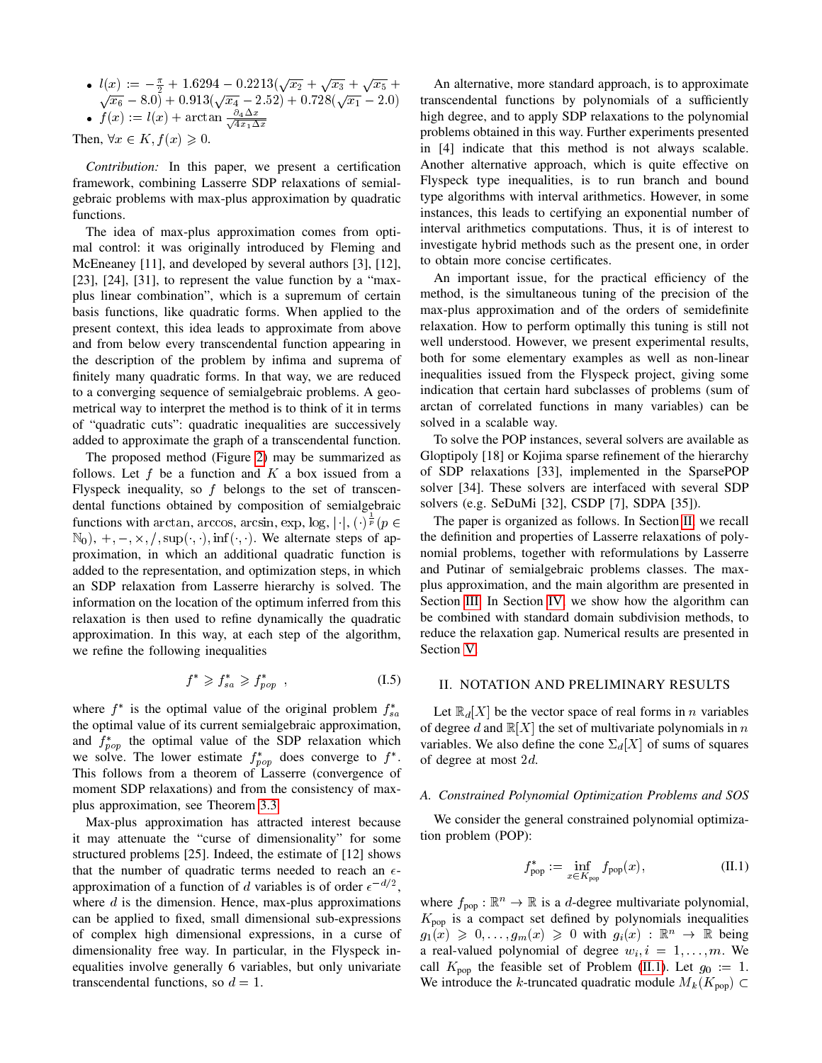•  $l(x) := -\frac{\pi}{2} + 1.6294 - 0.2213(\sqrt{x_2} + \sqrt{x_3} + \sqrt{x_5} + \sqrt{x_6} - 8.0) + 0.913(\sqrt{x_4} - 2.52) + 0.728(\sqrt{x_1} - 2.0)$ •  $f(x) := l(x) + \arctan \frac{\partial_4 \Delta x}{\partial x}$  $4x_1\Delta x$ 

Then,  $\forall x \in K, f(x) \geq 0.$ 

*Contribution:* In this paper, we present a certification framework, combining Lasserre SDP relaxations of semialgebraic problems with max-plus approximation by quadratic functions.

The idea of max-plus approximation comes from optimal control: it was originally introduced by Fleming and McEneaney [11], and developed by several authors [3], [12], [23], [24], [31], to represent the value function by a "maxplus linear combination", which is a supremum of certain basis functions, like quadratic forms. When applied to the present context, this idea leads to approximate from above and from below every transcendental function appearing in the description of the problem by infima and suprema of finitely many quadratic forms. In that way, we are reduced to a converging sequence of semialgebraic problems. A geometrical way to interpret the method is to think of it in terms of "quadratic cuts": quadratic inequalities are successively added to approximate the graph of a transcendental function.

The proposed method (Figure [2\)](#page-4-0) may be summarized as follows. Let  $f$  be a function and  $K$  a box issued from a Flyspeck inequality, so  $f$  belongs to the set of transcendental functions obtained by composition of semialgebraic functions with arctan, arccos, arcsin, exp, log,  $|\cdot|$ ,  $(\cdot)^{\frac{1}{p}}$  ( $p \in$  $\mathbb{N}_0$ , +, -, x, /, sup(, ,), inf(, ). We alternate steps of approximation, in which an additional quadratic function is added to the representation, and optimization steps, in which an SDP relaxation from Lasserre hierarchy is solved. The information on the location of the optimum inferred from this relaxation is then used to refine dynamically the quadratic approximation. In this way, at each step of the algorithm, we refine the following inequalities

$$
f^* \geqslant f^*_{sa} \geqslant f^*_{pop} \quad , \tag{I.5}
$$

where  $f^*$  is the optimal value of the original problem  $f_{sa}^*$ the optimal value of its current semialgebraic approximation, and  $f_{pop}^*$  the optimal value of the SDP relaxation which we solve. The lower estimate  $f_{pop}^*$  does converge to  $f^*$ . This follows from a theorem of Lasserre (convergence of moment SDP relaxations) and from the consistency of maxplus approximation, see Theorem [3.3.](#page-4-1)

Max-plus approximation has attracted interest because it may attenuate the "curse of dimensionality" for some structured problems [25]. Indeed, the estimate of [12] shows that the number of quadratic terms needed to reach an  $\epsilon$ approximation of a function of d variables is of order  $\epsilon^{-d/2}$ , where  $d$  is the dimension. Hence, max-plus approximations can be applied to fixed, small dimensional sub-expressions of complex high dimensional expressions, in a curse of dimensionality free way. In particular, in the Flyspeck inequalities involve generally 6 variables, but only univariate transcendental functions, so  $d = 1$ .

An alternative, more standard approach, is to approximate transcendental functions by polynomials of a sufficiently high degree, and to apply SDP relaxations to the polynomial problems obtained in this way. Further experiments presented in [4] indicate that this method is not always scalable. Another alternative approach, which is quite effective on Flyspeck type inequalities, is to run branch and bound type algorithms with interval arithmetics. However, in some instances, this leads to certifying an exponential number of interval arithmetics computations. Thus, it is of interest to investigate hybrid methods such as the present one, in order to obtain more concise certificates.

An important issue, for the practical efficiency of the method, is the simultaneous tuning of the precision of the max-plus approximation and of the orders of semidefinite relaxation. How to perform optimally this tuning is still not well understood. However, we present experimental results, both for some elementary examples as well as non-linear inequalities issued from the Flyspeck project, giving some indication that certain hard subclasses of problems (sum of arctan of correlated functions in many variables) can be solved in a scalable way.

To solve the POP instances, several solvers are available as Gloptipoly [18] or Kojima sparse refinement of the hierarchy of SDP relaxations [33], implemented in the SparsePOP solver [34]. These solvers are interfaced with several SDP solvers (e.g. SeDuMi [32], CSDP [7], SDPA [35]).

The paper is organized as follows. In Section [II,](#page-1-0) we recall the definition and properties of Lasserre relaxations of polynomial problems, together with reformulations by Lasserre and Putinar of semialgebraic problems classes. The maxplus approximation, and the main algorithm are presented in Section [III.](#page-2-0) In Section [IV,](#page-4-2) we show how the algorithm can be combined with standard domain subdivision methods, to reduce the relaxation gap. Numerical results are presented in Section [V.](#page-5-0)

## <span id="page-1-0"></span>II. NOTATION AND PRELIMINARY RESULTS

Let  $\mathbb{R}_d[X]$  be the vector space of real forms in n variables of degree d and  $\mathbb{R}[X]$  the set of multivariate polynomials in n variables. We also define the cone  $\Sigma_d[X]$  of sums of squares of degree at most 2d.

## *A. Constrained Polynomial Optimization Problems and SOS*

We consider the general constrained polynomial optimization problem (POP):

<span id="page-1-1"></span>
$$
f_{\text{pop}}^* := \inf_{x \in K_{\text{pop}}} f_{\text{pop}}(x), \tag{II.1}
$$

where  $f_{\text{pop}} : \mathbb{R}^n \to \mathbb{R}$  is a *d*-degree multivariate polynomial,  $K_{\text{pop}}$  is a compact set defined by polynomials inequalities  $g_1(x) \geq 0, \ldots, g_m(x) \geq 0$  with  $g_i(x) : \mathbb{R}^n \to \mathbb{R}$  being a real-valued polynomial of degree  $w_i$ ,  $i = 1, \ldots, m$ . We call  $K_{\text{pop}}$  the feasible set of Problem [\(II.1\)](#page-1-1). Let  $g_0 := 1$ . We introduce the k-truncated quadratic module  $M_k(K_{\text{pop}})$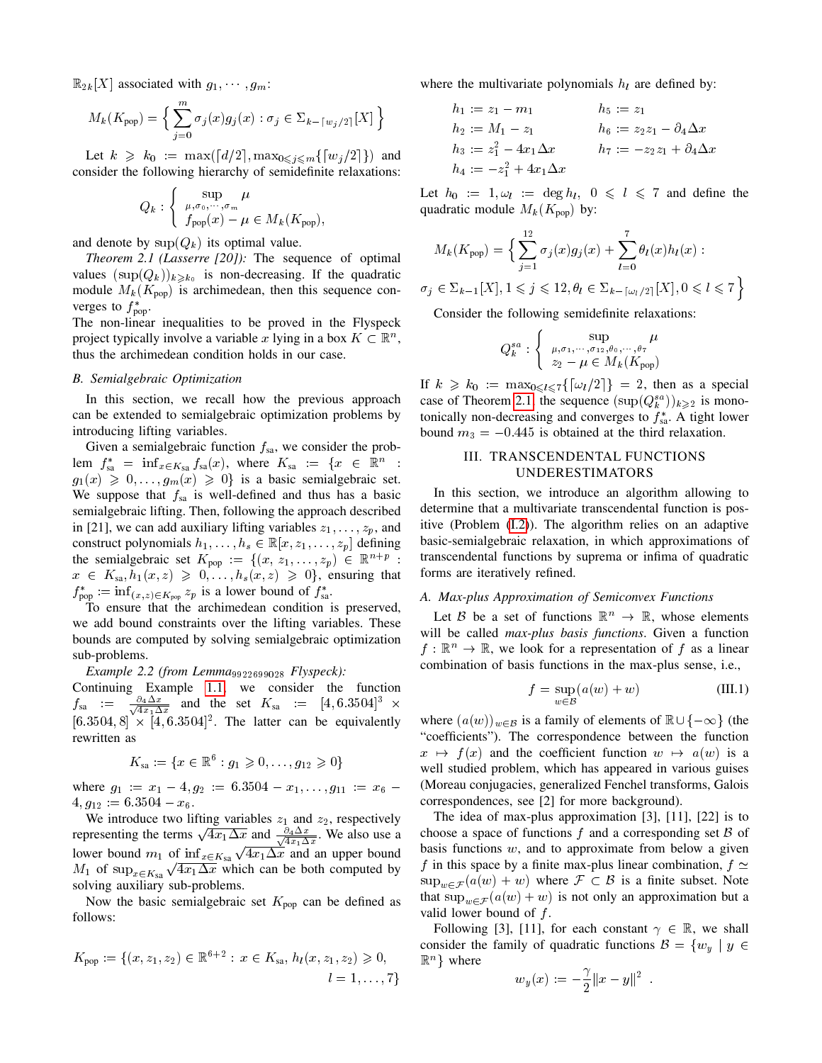$\mathbb{R}_{2k}[X]$  associated with  $g_1, \dots, g_m$ :

$$
M_k(K_{\text{pop}}) = \left\{ \sum_{j=0}^m \sigma_j(x) g_j(x) : \sigma_j \in \Sigma_{k - \lceil w_j/2 \rceil}[X] \right\}
$$

Let  $k \ge k_0 := \max([d/2], \max_{0 \le j \le m} \{ [w_j/2] \})$  and consider the following hierarchy of semidefinite relaxations:

$$
Q_k: \left\{ \begin{array}{c} \sup_{\mu,\sigma_0,\cdots,\sigma_m} \mu \\ f_{\text{pop}}(x) - \mu \in M_k(K_{\text{pop}}), \end{array} \right.
$$

and denote by  $\sup(Q_k)$  its optimal value.

*Theorem 2.1 (Lasserre [20]):* The sequence of optimal values  $(\sup(Q_k))_{k\geq k_0}$  is non-decreasing. If the quadratic module  $M_k(K_{\text{pop}})$  is archimedean, then this sequence converges to  $f^*_{\text{pop}}$ .

The non-linear inequalities to be proved in the Flyspeck project typically involve a variable x lying in a box  $K \subset \mathbb{R}^n$ , thus the archimedean condition holds in our case.

## <span id="page-2-3"></span>*B. Semialgebraic Optimization*

In this section, we recall how the previous approach can be extended to semialgebraic optimization problems by introducing lifting variables.

Given a semialgebraic function  $f_{sa}$ , we consider the problem  $f_{sa}^* = \inf_{x \in K_{sa}} f_{sa}(x)$ , where  $K_{sa} := \{x \in \mathbb{R}^n :$  $g_1(x) \geq 0, \ldots, g_m(x) \geq 0$  is a basic semialgebraic set. We suppose that  $f_{sa}$  is well-defined and thus has a basic semialgebraic lifting. Then, following the approach described in [21], we can add auxiliary lifting variables  $z_1, \ldots, z_p$ , and construct polynomials  $h_1, \ldots, h_s \in \mathbb{R}[x, z_1, \ldots, z_p]$  defining the semialgebraic set  $K_{\text{pop}} := \{ (x, z_1, \ldots, z_p) \in \mathbb{R}^{n+p} \}$  $x \in K_{sa}, h_1(x, z) \geq 0, \ldots, h_s(x, z) \geq 0$ , ensuring that  $f^*_{\text{pop}} := \inf_{(x,z) \in K_{\text{pop}}} z_p$  is a lower bound of  $f^*_{\text{sa}}$ .

To ensure that the archimedean condition is preserved, we add bound constraints over the lifting variables. These bounds are computed by solving semialgebraic optimization sub-problems.

<span id="page-2-5"></span>*Example 2.2 (from Lemma*<sup>9922699028</sup> *Flyspeck):*

Continuing Example [1.1,](#page-0-2) we consider the function  $f_{\text{sa}} = \frac{\partial_4 \Delta x}{\sqrt{4x \cdot \Delta}}$  $\frac{\partial_4 \Delta x}{\partial_4 x_1 \Delta x}$  and the set  $K_{sa} := [4, 6.3504]^3 \times$  $[6.3504, 8] \times [4, 6.3504]^2$ . The latter can be equivalently rewritten as

$$
K_{sa} := \{ x \in \mathbb{R}^6 : g_1 \geq 0, \dots, g_{12} \geq 0 \}
$$

where  $g_1 := x_1 - 4, g_2 := 6.3504 - x_1, \ldots, g_{11} := x_6 4, g_{12} := 6.3504 - x_6.$ 

We introduce two lifting variables  $z_1$  and  $z_2$ , respectively representing the terms  $\sqrt{4x_1\Delta x}$  and  $\frac{\partial_4 \Delta x}{\sqrt{4x_1\Delta x}}$ . We also use a  $\overline{\Delta x}$  and  $\frac{\partial_4 \Delta x}{\sqrt{4x_1 \Delta x}}$ . We also use a lower bound  $m_1$  of  $\inf_{x \in K_{sa}} \sqrt{4x_1 \Delta x}$  and an upper bound  $M_1$  of sup<sub> $x \in K_{sa}$ </sub>  $\sqrt{4x_1 \Delta x}$  which can be both computed by solving auxiliary sub-problems.

Now the basic semialgebraic set  $K_{\text{pop}}$  can be defined as follows:

$$
K_{\text{pop}} := \{ (x, z_1, z_2) \in \mathbb{R}^{6+2} : x \in K_{\text{sa}}, h_l(x, z_1, z_2) \geq 0, \quad l = 1, ..., 7 \}
$$

where the multivariate polynomials  $h_l$  are defined by:

$$
h_1 := z_1 - m_1 \t h_5 := z_1
$$
  
\n
$$
h_2 := M_1 - z_1 \t h_6 := z_2 z_1 - \partial_4 \Delta x
$$
  
\n
$$
h_3 := z_1^2 - 4x_1 \Delta x \t h_7 := -z_2 z_1 + \partial_4 \Delta x
$$
  
\n
$$
h_4 := -z_1^2 + 4x_1 \Delta x
$$

Let  $h_0 := 1, \omega_l := \deg h_l, \ 0 \leq l \leq 7$  and define the quadratic module  $M_k(K_{\text{pop}})$  by:

<span id="page-2-1"></span>
$$
M_k(K_{\text{pop}}) = \Big\{ \sum_{j=1}^{12} \sigma_j(x) g_j(x) + \sum_{l=0}^{7} \theta_l(x) h_l(x) : \\ \sigma_j \in \Sigma_{k-1}[X], 1 \leq j \leq 12, \theta_l \in \Sigma_{k-[\omega_l/2]}[X], 0 \leq l \leq 7 \Big\}
$$

Consider the following semidefinite relaxations:

$$
Q_k^{sa}: \begin{cases} \sup_{\mu, \sigma_1, \cdots, \sigma_{12}, \theta_0, \cdots, \theta_7} \mu \\ z_2 - \mu \in M_k(K_{\text{pop}}) \end{cases}
$$

If  $k \geq k_0 := \max_{0 \leq l \leq 7} {\vert \omega_l/2 \vert } = 2$ , then as a special case of Theorem [2.1,](#page-2-1) the sequence  $(\sup(Q_k^{sa}))_{k \geq 2}$  is monotonically non-decreasing and converges to  $f_{sa}^*$ . A tight lower bound  $m_3 = -0.445$  is obtained at the third relaxation.

## III. TRANSCENDENTAL FUNCTIONS UNDERESTIMATORS

<span id="page-2-0"></span>In this section, we introduce an algorithm allowing to determine that a multivariate transcendental function is positive (Problem [\(I.2\)](#page-0-3)). The algorithm relies on an adaptive basic-semialgebraic relaxation, in which approximations of transcendental functions by suprema or infima of quadratic forms are iteratively refined.

## <span id="page-2-4"></span>*A. Max-plus Approximation of Semiconvex Functions*

Let B be a set of functions  $\mathbb{R}^n \to \mathbb{R}$ , whose elements will be called *max-plus basis functions*. Given a function  $f: \mathbb{R}^n \to \mathbb{R}$ , we look for a representation of f as a linear combination of basis functions in the max-plus sense, i.e.,

<span id="page-2-2"></span>
$$
f = \sup_{w \in \mathcal{B}} (a(w) + w)
$$
 (III.1)

:

where  $(a(w))_{w\in\mathcal{B}}$  is a family of elements of  $\mathbb{R}\cup\{-\infty\}$  (the "coefficients"). The correspondence between the function  $x \mapsto f(x)$  and the coefficient function  $w \mapsto a(w)$  is a well studied problem, which has appeared in various guises (Moreau conjugacies, generalized Fenchel transforms, Galois correspondences, see [2] for more background).

The idea of max-plus approximation [3], [11], [22] is to choose a space of functions  $f$  and a corresponding set  $\beta$  of basis functions  $w$ , and to approximate from below a given f in this space by a finite max-plus linear combination,  $f \simeq$  $\sup_{w \in \mathcal{F}} (a(w) + w)$  where  $\mathcal{F} \subset \mathcal{B}$  is a finite subset. Note that  $\sup_{w \in \mathcal{F}} (a(w) + w)$  is not only an approximation but a valid lower bound of  $f$ .

Following [3], [11], for each constant  $\gamma \in \mathbb{R}$ , we shall consider the family of quadratic functions  $\mathcal{B} = \{w_u \mid y \in$  $\mathbb{R}^n$  where

$$
w_y(x):=-\frac{\gamma}{2}\|x-y\|^2
$$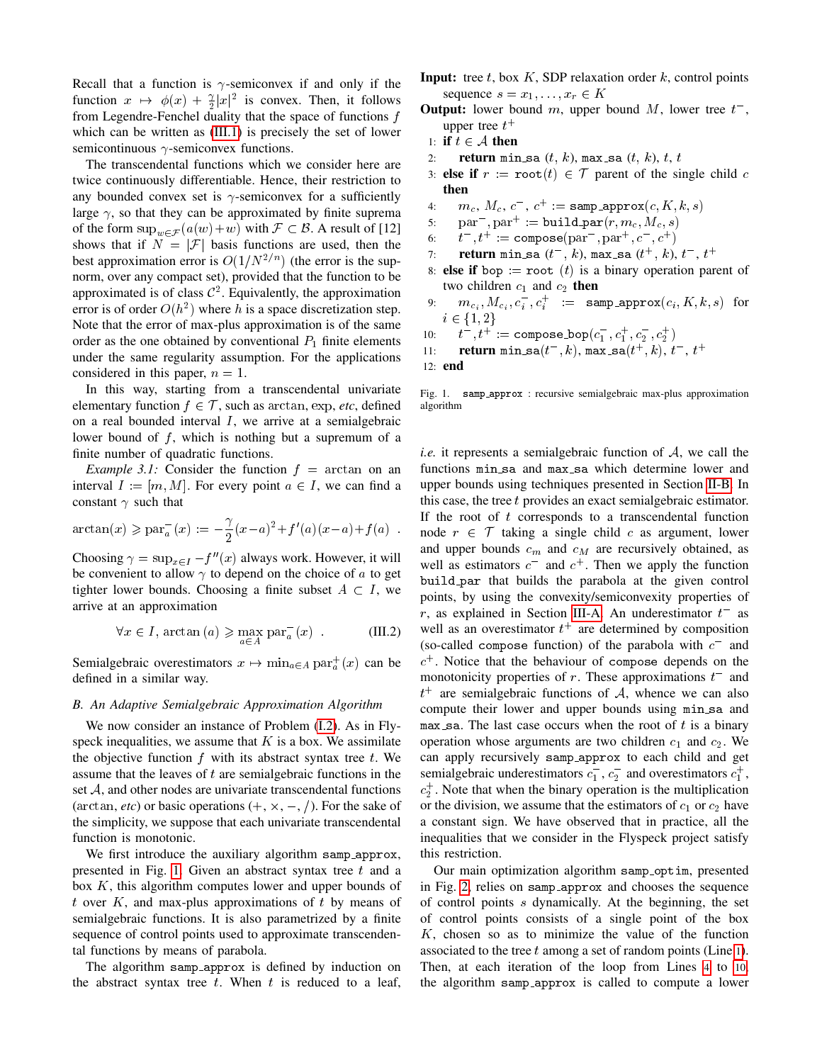Recall that a function is  $\gamma$ -semiconvex if and only if the function  $x \mapsto \phi(x) + \frac{\gamma}{2}|x|^2$  is convex. Then, it follows from Legendre-Fenchel duality that the space of functions f which can be written as [\(III.1\)](#page-2-2) is precisely the set of lower semicontinuous  $\gamma$ -semiconvex functions.

The transcendental functions which we consider here are twice continuously differentiable. Hence, their restriction to any bounded convex set is  $\gamma$ -semiconvex for a sufficiently large  $\gamma$ , so that they can be approximated by finite suprema of the form  $\sup_{w \in \mathcal{F}} (a(w)+w)$  with  $\mathcal{F} \subset \mathcal{B}$ . A result of [12] shows that if  $N = |\mathcal{F}|$  basis functions are used, then the best approximation error is  $O(1/N^{2/n})$  (the error is the supnorm, over any compact set), provided that the function to be approximated is of class  $C^2$ . Equivalently, the approximation error is of order  $O(h^2)$  where h is a space discretization step. Note that the error of max-plus approximation is of the same order as the one obtained by conventional  $P_1$  finite elements under the same regularity assumption. For the applications considered in this paper,  $n = 1$ .

In this way, starting from a transcendental univariate elementary function  $f \in \mathcal{T}$ , such as arctan, exp, *etc*, defined on a real bounded interval  $I$ , we arrive at a semialgebraic lower bound of  $f$ , which is nothing but a supremum of a finite number of quadratic functions.

*Example 3.1:* Consider the function  $f = \arctan$  on an interval  $I := [m, M]$ . For every point  $a \in I$ , we can find a constant  $\gamma$  such that

$$
\arctan(x) \ge \text{par}_a^-(x) := -\frac{\gamma}{2}(x-a)^2 + f'(a)(x-a) + f(a)
$$
.

Choosing  $\gamma = \sup_{x \in I} -f''(x)$  always work. However, it will be convenient to allow  $\gamma$  to depend on the choice of a to get tighter lower bounds. Choosing a finite subset  $A \subset I$ , we arrive at an approximation

$$
\forall x \in I, \arctan(a) \geq \max_{a \in A} \operatorname{par}_{a}^{-}(x) . \tag{III.2}
$$

Semialgebraic overestimators  $x \mapsto \min_{a \in A} \text{par}_a^+(x)$  can be defined in a similar way.

#### <span id="page-3-1"></span>*B. An Adaptive Semialgebraic Approximation Algorithm*

We now consider an instance of Problem [\(I.2\)](#page-0-3). As in Flyspeck inequalities, we assume that  $K$  is a box. We assimilate the objective function  $f$  with its abstract syntax tree  $t$ . We assume that the leaves of  $t$  are semialgebraic functions in the set  $A$ , and other nodes are univariate transcendental functions (arctan, *etc*) or basic operations  $(+, \times, -, /)$ . For the sake of the simplicity, we suppose that each univariate transcendental function is monotonic.

We first introduce the auxiliary algorithm samp\_approx, presented in Fig. [1.](#page-3-0) Given an abstract syntax tree  $t$  and a box  $K$ , this algorithm computes lower and upper bounds of t over K, and max-plus approximations of t by means of semialgebraic functions. It is also parametrized by a finite sequence of control points used to approximate transcendental functions by means of parabola.

The algorithm samp approx is defined by induction on the abstract syntax tree  $t$ . When  $t$  is reduced to a leaf,

- **Input:** tree t, box K, SDP relaxation order k, control points sequence  $s = x_1, \ldots, x_r \in K$
- **Output:** lower bound m, upper bound M, lower tree  $t^-$ , upper tree  $t^+$
- 1: if  $t \in \mathcal{A}$  then
- 2: **return** min\_sa  $(t, k)$ , max\_sa  $(t, k)$ ,  $t$ ,  $t$
- 3: else if  $r := \text{root}(t) \in \mathcal{T}$  parent of the single child c then
- 4:  $m_c, M_c, c^-, c^+ := \texttt{samp\_approx}(c, K, k, s)$
- 5:  $par^-$ ,  $par^+$ : = build\_par( $r, m_c, M_c, s$ )
- 6:  $t^-, t^+ := \text{composite}(\text{par}^-, \text{par}^+, c^-, c^+)$
- 7: return min\_sa  $(t^{-},\ k)$ , max\_sa  $(t^{+},\ k),\ t^{-},\ t^{+}$
- 8: else if bop := root (t) is a binary operation parent of two children  $c_1$  and  $c_2$  then
- 9:  $m_{c_i}, M_{c_i}, c_i^-, c_i^+$  := samp\_approx $(c_i, K, k, s)$  for  $i \in \{1, 2\}$
- $10:$  $\bar{c}^-, t^+ := \texttt{compose\_bop}(c_1^-, c_1^+, c_2^-, c_2^+)$
- 11: **return** min\_sa( $t^-, k$ ), max\_sa( $t^+, k$ ),  $t^-, t^+$
- 12: end

<span id="page-3-0"></span>Fig. 1. samp approx : recursive semialgebraic max-plus approximation algorithm

*i.e.* it represents a semialgebraic function of A, we call the functions  $min\_sa$  and  $max\_sa$  which determine lower and upper bounds using techniques presented in Section [II-B.](#page-2-3) In this case, the tree  $t$  provides an exact semialgebraic estimator. If the root of  $t$  corresponds to a transcendental function node  $r \in \mathcal{T}$  taking a single child c as argument, lower and upper bounds  $c_m$  and  $c_M$  are recursively obtained, as well as estimators  $c^-$  and  $c^+$ . Then we apply the function build par that builds the parabola at the given control points, by using the convexity/semiconvexity properties of r, as explained in Section [III-A.](#page-2-4) An underestimator  $t^-$  as well as an overestimator  $t^+$  are determined by composition (so-called compose function) of the parabola with  $c^-$  and  $c<sup>+</sup>$ . Notice that the behaviour of compose depends on the monotonicity properties of  $r$ . These approximations  $t^-$  and  $t^+$  are semialgebraic functions of A, whence we can also compute their lower and upper bounds using min\_sa and max sa. The last case occurs when the root of  $t$  is a binary operation whose arguments are two children  $c_1$  and  $c_2$ . We can apply recursively samp approx to each child and get semialgebraic underestimators  $c_1^-, c_2^-$  and overestimators  $c_1^+,$  $c_2^+$ . Note that when the binary operation is the multiplication or the division, we assume that the estimators of  $c_1$  or  $c_2$  have a constant sign. We have observed that in practice, all the inequalities that we consider in the Flyspeck project satisfy this restriction.

Our main optimization algorithm samp optim, presented in Fig. [2,](#page-4-0) relies on samp approx and chooses the sequence of control points s dynamically. At the beginning, the set of control points consists of a single point of the box K, chosen so as to minimize the value of the function associated to the tree  $t$  among a set of random points (Line [1](#page-3-0)). Then, at each iteration of the loop from Lines [4](#page-3-0) to [10](#page-3-0), the algorithm samp approx is called to compute a lower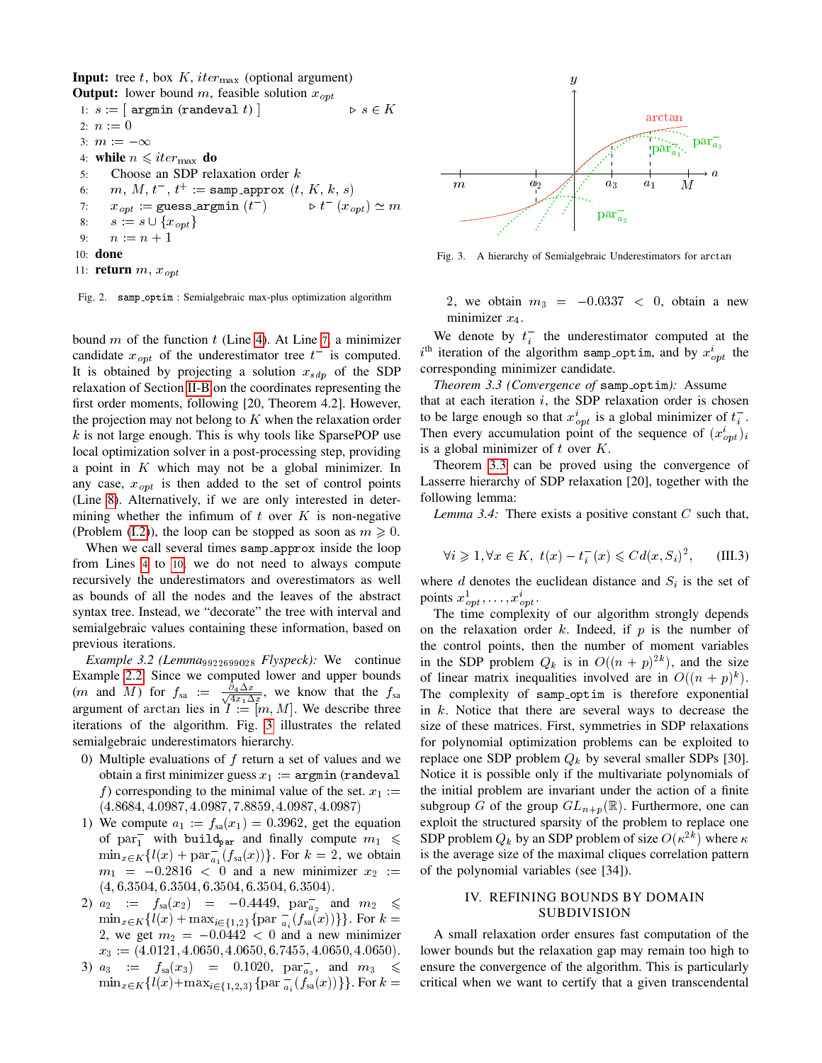**Input:** tree t, box K, iter<sub>max</sub> (optional argument)

```
Output: lower bound m, feasible solution x_{opt}1: s := [ argmin (randeval t) ] s \in K2: n := 03: m := -\infty4: while n \leqslant iter_{\text{max}} do
 5: Choose an SDP relaxation order k6: m, M, t^{-}, t^{+} : = samp_approx (t, K, k, s)7: x_{opt} := guess_argmin (t^-)\triangleright t^-(x_{opt}) \simeq m8: s := s \cup \{x_{opt}\}\9: n := n + 110: done
11: return m, x_{\text{on }t}
```
<span id="page-4-0"></span>

bound  $m$  of the function  $t$  (Line [4\)](#page-3-1). At Line [7](#page-3-0), a minimizer candidate  $x_{opt}$  of the underestimator tree  $t^-$  is computed. It is obtained by projecting a solution  $x_{sdp}$  of the SDP relaxation of Section [II-B](#page-2-3) on the coordinates representing the first order moments, following [20, Theorem 4.2]. However, the projection may not belong to  $K$  when the relaxation order  $k$  is not large enough. This is why tools like SparsePOP use local optimization solver in a post-processing step, providing a point in K which may not be a global minimizer. In any case,  $x_{\text{opt}}$  is then added to the set of control points (Line [8\)](#page-3-0). Alternatively, if we are only interested in determining whether the infimum of  $t$  over  $K$  is non-negative (Problem [\(I.2\)](#page-0-3)), the loop can be stopped as soon as  $m \geq 0$ .

When we call several times samp approx inside the loop from Lines [4](#page-3-0) to [10](#page-3-0), we do not need to always compute recursively the underestimators and overestimators as well as bounds of all the nodes and the leaves of the abstract syntax tree. Instead, we "decorate" the tree with interval and semialgebraic values containing these information, based on previous iterations.

*Example 3.2 (Lemma*<sup>9922699028</sup> *Flyspeck):* We continue Example [2.2.](#page-2-5) Since we computed lower and upper bounds  $(m \text{ and } M)$  for  $f_{sa} := \frac{\partial_4 \Delta x}{\sqrt{4x+\Delta}}$  $\frac{\partial_4 \Delta x}{\partial_4 x_1 \Delta x}$ , we know that the  $f_{\rm sa}$ argument of arctan lies in  $I := [m, M]$ . We describe three iterations of the algorithm. Fig. [3](#page-4-3) illustrates the related semialgebraic underestimators hierarchy.

- 0) Multiple evaluations of  $f$  return a set of values and we obtain a first minimizer guess  $x_1 := \text{argmin} (\text{randeval})$ f) corresponding to the minimal value of the set.  $x_1 :=$ (4:8684; 4:0987; 4:0987; 7:8859; 4:0987; 4:0987)
- 1) We compute  $a_1 := f_{sa}(x_1) = 0.3962$ , get the equation of  $par_1^-$  with build<sub>par</sub> and finally compute  $m_1 \leq$  $\min_{x \in K} \{ l(x) + \text{par}_{a_1}^{-}(f_{sa}(x)) \}.$  For  $k = 2$ , we obtain  $m_1$  = -0.2816 < 0 and a new minimizer  $x_2$  :=  $(4, 6.3504, 6.3504, 6.3504, 6.3504, 6.3504).$
- 2)  $a_2 := f_{sa}(x_2) = -0.4449$ ,  $par_{a_2}^-$  and  $m_2 \leq$  $\min_{x \in K} \{l(x) + \max_{i \in \{1,2\}} \{\text{par } \frac{1}{a_i}(f_{sa}(x))\}\}\.$  For  $k =$ 2, we get  $m_2 = -0.0442 < 0$  and a new minimizer  $x_3 := (4.0121, 4.0650, 4.0650, 6.7455, 4.0650, 4.0650).$
- 3)  $a_3 := f_{sa}(x_3) = 0.1020, \ \text{par}_{a_3}^-, \text{ and } m_3 \leq$  $\min_{x \in K} \{l(x) + \max_{i \in \{1,2,3\}} \{ \text{par } \frac{-}{a_i} (f_{\text{sa}}(x)) \} \}.$  For  $k =$



<span id="page-4-3"></span>Fig. 3. A hierarchy of Semialgebraic Underestimators for arctan

<span id="page-4-1"></span>2, we obtain  $m_3 = -0.0337 < 0$ , obtain a new minimizer  $x_4$ .

We denote by  $t_i^-$  the underestimator computed at the  $i^{\text{th}}$  iteration of the algorithm samp optim, and by  $x_{opt}^i$  the corresponding minimizer candidate.

*Theorem 3.3 (Convergence of samp\_optim):* Assume that at each iteration  $i$ , the SDP relaxation order is chosen to be large enough so that  $x_{opt}^i$  is a global minimizer of  $t_i^-$ . Then every accumulation point of the sequence of  $(x_{opt}^i)_i$ is a global minimizer of  $t$  over  $K$ .

Theorem [3.3](#page-4-1) can be proved using the convergence of Lasserre hierarchy of SDP relaxation [20], together with the following lemma:

*Lemma 3.4:* There exists a positive constant C such that,

$$
\forall i \geq 1, \forall x \in K, \ t(x) - t_i^-(x) \leq C d(x, S_i)^2, \qquad \text{(III.3)}
$$

where  $d$  denotes the euclidean distance and  $S_i$  is the set of points  $x_{opt}^1, \ldots, x_{opt}^i$ .

The time complexity of our algorithm strongly depends on the relaxation order k. Indeed, if  $p$  is the number of the control points, then the number of moment variables in the SDP problem  $Q_k$  is in  $O((n+p)^{2k})$ , and the size of linear matrix inequalities involved are in  $O((n+p)^k)$ . The complexity of samp optim is therefore exponential in  $k$ . Notice that there are several ways to decrease the size of these matrices. First, symmetries in SDP relaxations for polynomial optimization problems can be exploited to replace one SDP problem  $Q_k$  by several smaller SDPs [30]. Notice it is possible only if the multivariate polynomials of the initial problem are invariant under the action of a finite subgroup G of the group  $GL_{n+p}(\mathbb{R})$ . Furthermore, one can exploit the structured sparsity of the problem to replace one SDP problem  $Q_k$  by an SDP problem of size  $O(\kappa^{2k})$  where  $\kappa$ is the average size of the maximal cliques correlation pattern of the polynomial variables (see [34]).

# IV. REFINING BOUNDS BY DOMAIN SUBDIVISION

<span id="page-4-2"></span>A small relaxation order ensures fast computation of the lower bounds but the relaxation gap may remain too high to ensure the convergence of the algorithm. This is particularly critical when we want to certify that a given transcendental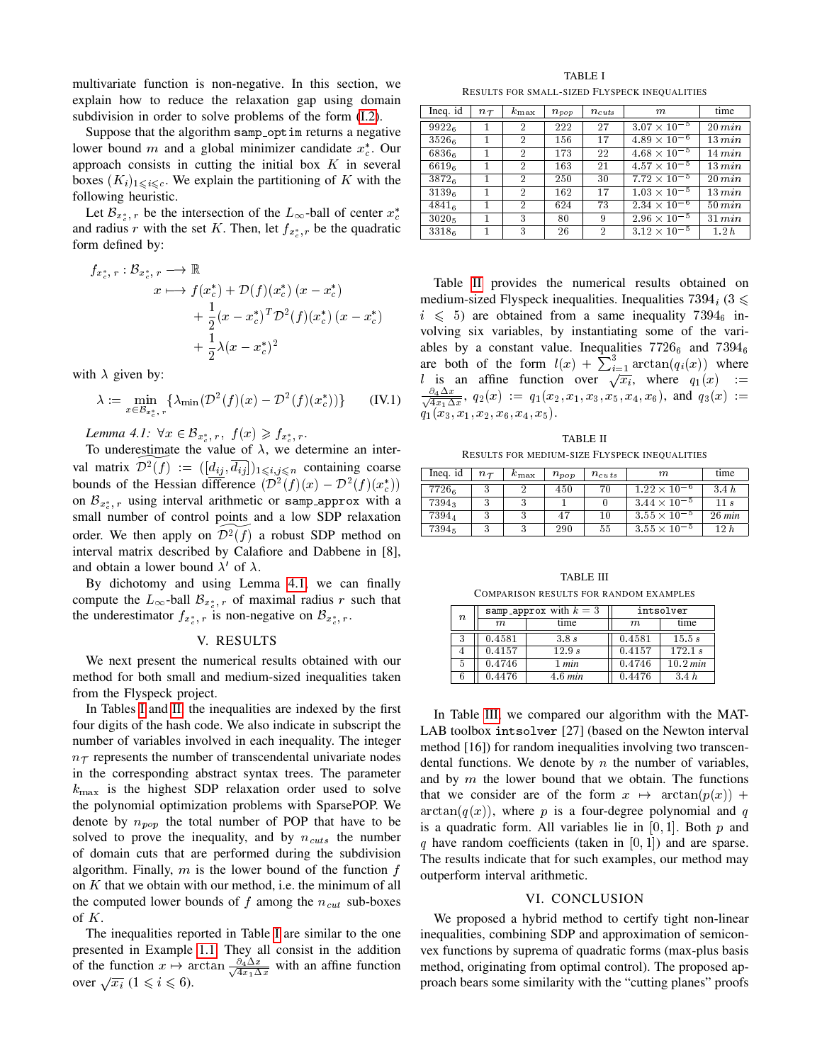multivariate function is non-negative. In this section, we explain how to reduce the relaxation gap using domain subdivision in order to solve problems of the form [\(I.2\)](#page-0-3).

Suppose that the algorithm samp optim returns a negative lower bound m and a global minimizer candidate  $x_c^*$ . Our approach consists in cutting the initial box  $K$  in several boxes  $(K_i)_{1\leq i\leq c}$ . We explain the partitioning of K with the following heuristic.

Let  $\mathcal{B}_{x_c^*,r}$  be the intersection of the  $L_{\infty}$ -ball of center  $x_c^*$ and radius r with the set K. Then, let  $f_{x_c^*,r}$  be the quadratic form defined by:

$$
f_{x_c^*,r}: \mathcal{B}_{x_c^*,r} \longrightarrow \mathbb{R}
$$
  
\n
$$
x \longmapsto f(x_c^*) + \mathcal{D}(f)(x_c^*) (x - x_c^*)
$$
  
\n
$$
+ \frac{1}{2}(x - x_c^*)^T \mathcal{D}^2(f)(x_c^*) (x - x_c^*)
$$
  
\n
$$
+ \frac{1}{2}\lambda(x - x_c^*)^2
$$

with  $\lambda$  given by:

$$
\lambda := \min_{x \in \mathcal{B}_{x_c^*, r}} \{ \lambda_{\min}(\mathcal{D}^2(f)(x) - \mathcal{D}^2(f)(x_c^*)) \} \qquad (IV.1)
$$

<span id="page-5-1"></span>Lemma 4.1:  $\forall x \in \mathcal{B}_{x_c^*, r}, \ f(x) \geqslant f_{x_c^*, r}.$ 

To underestimate the value of  $\lambda$ , we determine an interval matrix  $\widetilde{\mathcal{D}^2(f)} := ([d_{ij}, \overline{d_{ij} }])_{1\leqslant i,j\leqslant n}$  containing coarse bounds of the Hessian difference  $(\mathcal{D}^2(f)(x) - \mathcal{D}^2(f)(x_c^*))$ on  $\mathcal{B}_{x_c^*}}$ , using interval arithmetic or samp approx with a small number of control points and a low SDP relaxation order. We then apply on  $\mathcal{D}^2(f)$  a robust SDP method on interval matrix described by Calafiore and Dabbene in [8], and obtain a lower bound  $\lambda'$  of  $\lambda$ .

By dichotomy and using Lemma [4.1,](#page-5-1) we can finally compute the  $L_{\infty}$ -ball  $\mathcal{B}_{x_{c}^* , r}$  of maximal radius r such that the underestimator  $f_{x_c^*,r}$  is non-negative on  $\mathcal{B}_{x_c^*,r}$ .

## V. RESULTS

<span id="page-5-0"></span>We next present the numerical results obtained with our method for both small and medium-sized inequalities taken from the Flyspeck project.

In Tables [I](#page-5-2) and [II,](#page-5-3) the inequalities are indexed by the first four digits of the hash code. We also indicate in subscript the number of variables involved in each inequality. The integer  $n<sub>T</sub>$  represents the number of transcendental univariate nodes in the corresponding abstract syntax trees. The parameter  $k_{\text{max}}$  is the highest SDP relaxation order used to solve the polynomial optimization problems with SparsePOP. We denote by  $n_{non}$  the total number of POP that have to be solved to prove the inequality, and by  $n_{cuts}$  the number of domain cuts that are performed during the subdivision algorithm. Finally,  $m$  is the lower bound of the function  $f$ on  $K$  that we obtain with our method, i.e. the minimum of all the computed lower bounds of f among the  $n_{cut}$  sub-boxes of K.

The inequalities reported in Table [I](#page-5-2) are similar to the one presented in Example [1.1.](#page-0-2) They all consist in the addition of the function  $x \mapsto \arctan \frac{\partial_4 \Delta x}{\sqrt{dx \Delta x}}$  $\frac{\partial_4 \Delta x}{\partial_4 x_1 \Delta x}$  with an affine function over  $\sqrt{x_i}$   $(1 \le i \le 6)$ .

TABLE I RESULTS FOR SMALL-SIZED FLYSPECK INEQUALITIES

<span id="page-5-2"></span>

| Ineq. id | $n_{\mathcal{T}}$ | $k_{\rm max}$  | $n_{pop}$ | $n_{cuts}$     | $\,m$                            | time        |
|----------|-------------------|----------------|-----------|----------------|----------------------------------|-------------|
| 99226    |                   | $\overline{2}$ | 222       | 27             | $3.07 \times 10^{-5}$            | $20 \, min$ |
| 35266    |                   | $\overline{2}$ | 156       | 17             | $4.89 \times 10^{-6}$            | $13 \, min$ |
| 68366    |                   | $\overline{2}$ | 173       | 22             | $4.68 \times 10^{-5}$            | 14 min      |
| 66196    |                   | $\overline{2}$ | 163       | 21             | $4.57 \times 10^{-5}$            | 13 min      |
| 38726    | 1                 | 2              | 250       | 30             | $7.72 \times 10^{-5}$            | 20 min      |
| 31396    |                   | $\overline{2}$ | 162       | 17             | $\overline{1.03 \times 10^{-5}}$ | 13 min      |
| 48416    |                   | $\overline{2}$ | 624       | 73             | $2.34 \times 10^{-6}$            | $50$ $min$  |
| $3020_5$ |                   | 3              | 80        | 9              | $2.96 \times 10^{-5}$            | 31 min      |
| 33186    | 1                 | 3              | 26        | $\overline{2}$ | $\frac{3.12 \times 10^{-5}}{2}$  | 1.2h        |

Table [II](#page-5-3) provides the numerical results obtained on medium-sized Flyspeck inequalities. Inequalities  $7394_i$  (3  $\leq$  $i \leq 5$ ) are obtained from a same inequality 7394<sub>6</sub> involving six variables, by instantiating some of the variables by a constant value. Inequalities  $7726<sub>6</sub>$  and  $7394<sub>6</sub>$ are both of the form  $l(x) + \sum_{i=1}^{3} \arctan(q_i(x))$  where d is an affine function over  $\sqrt{x_i}$ , where  $q_1(x)$  :=  $\frac{\partial_4\Delta x}{\Delta}$  $\frac{\partial_4 \Delta x}{\partial x_1 \Delta x}$ ,  $q_2(x) := q_1(x_2, x_1, x_3, x_5, x_4, x_6)$ , and  $q_3(x) :=$  $q_1(x_3, x_1, x_2, x_6, x_4, x_5).$ 

| <b>TABLE II</b>                                      |
|------------------------------------------------------|
| <b>RESULTS FOR MEDIUM-SIZE FLYSPECK INEOUALITIES</b> |

<span id="page-5-3"></span>

| Ineq. id | $n\tau$ | $k_{\max}$ | $n_{pop}$ | $n_{cuts}$ | $\,m$                 | time             |
|----------|---------|------------|-----------|------------|-----------------------|------------------|
| 77266    |         |            | 450       | 70         | $1.22 \times 10^{-6}$ | 3.4h             |
| 73943    |         |            |           |            | $3.44 \times 10^{-5}$ | 11 s             |
| 73944    |         |            | 47        | 10         | $3.55 \times 10^{-5}$ | $26 \text{ min}$ |
| 73945    |         |            | 290       | 55         | $3.55 \times 10^{-5}$ | 12 h             |

TABLE III COMPARISON RESULTS FOR RANDOM EXAMPLES

<span id="page-5-4"></span>

| $\boldsymbol{n}$ |        | samp_approx with $k=3$ | intsolver |          |  |
|------------------|--------|------------------------|-----------|----------|--|
|                  | m      | time                   | m         | time     |  |
|                  | 0.4581 | 3.8s                   | 0.4581    | 15.5 s   |  |
|                  | 0.4157 | 12.9 s                 | 0.4157    | 172.1 s  |  |
| 5                | 0.4746 | 1 min                  | 0.4746    | 10.2 min |  |
|                  | 0.4476 | 4.6 min                | 0.4476    | 3.4h     |  |

In Table [III,](#page-5-4) we compared our algorithm with the MAT-LAB toolbox intsolver [27] (based on the Newton interval method [16]) for random inequalities involving two transcendental functions. We denote by  $n$  the number of variables, and by  $m$  the lower bound that we obtain. The functions that we consider are of the form  $x \mapsto \arctan(p(x)) +$  $arctan(q(x))$ , where p is a four-degree polynomial and q is a quadratic form. All variables lie in  $[0, 1]$ . Both p and q have random coefficients (taken in  $[0, 1]$ ) and are sparse. The results indicate that for such examples, our method may outperform interval arithmetic.

## VI. CONCLUSION

We proposed a hybrid method to certify tight non-linear inequalities, combining SDP and approximation of semiconvex functions by suprema of quadratic forms (max-plus basis method, originating from optimal control). The proposed approach bears some similarity with the "cutting planes" proofs